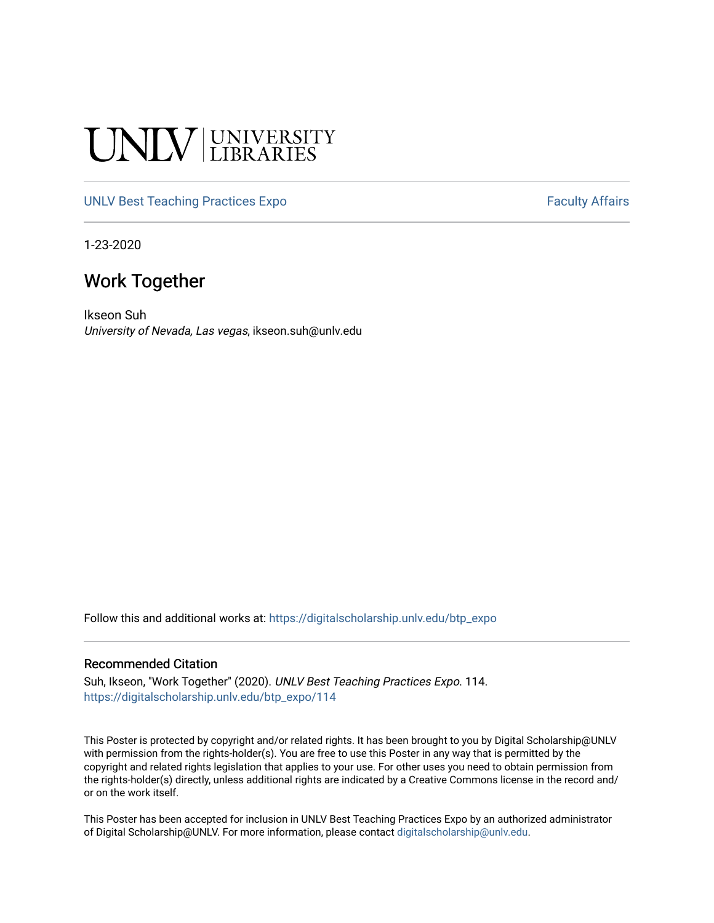# UNIV UNIVERSITY

## [UNLV Best Teaching Practices Expo](https://digitalscholarship.unlv.edu/btp_expo) Faculty Affairs

1-23-2020

# Work Together

Ikseon Suh University of Nevada, Las vegas, ikseon.suh@unlv.edu

Follow this and additional works at: [https://digitalscholarship.unlv.edu/btp\\_expo](https://digitalscholarship.unlv.edu/btp_expo?utm_source=digitalscholarship.unlv.edu%2Fbtp_expo%2F114&utm_medium=PDF&utm_campaign=PDFCoverPages)

### Recommended Citation

Suh, Ikseon, "Work Together" (2020). UNLV Best Teaching Practices Expo. 114. [https://digitalscholarship.unlv.edu/btp\\_expo/114](https://digitalscholarship.unlv.edu/btp_expo/114?utm_source=digitalscholarship.unlv.edu%2Fbtp_expo%2F114&utm_medium=PDF&utm_campaign=PDFCoverPages)

This Poster is protected by copyright and/or related rights. It has been brought to you by Digital Scholarship@UNLV with permission from the rights-holder(s). You are free to use this Poster in any way that is permitted by the copyright and related rights legislation that applies to your use. For other uses you need to obtain permission from the rights-holder(s) directly, unless additional rights are indicated by a Creative Commons license in the record and/ or on the work itself.

This Poster has been accepted for inclusion in UNLV Best Teaching Practices Expo by an authorized administrator of Digital Scholarship@UNLV. For more information, please contact [digitalscholarship@unlv.edu.](mailto:digitalscholarship@unlv.edu)